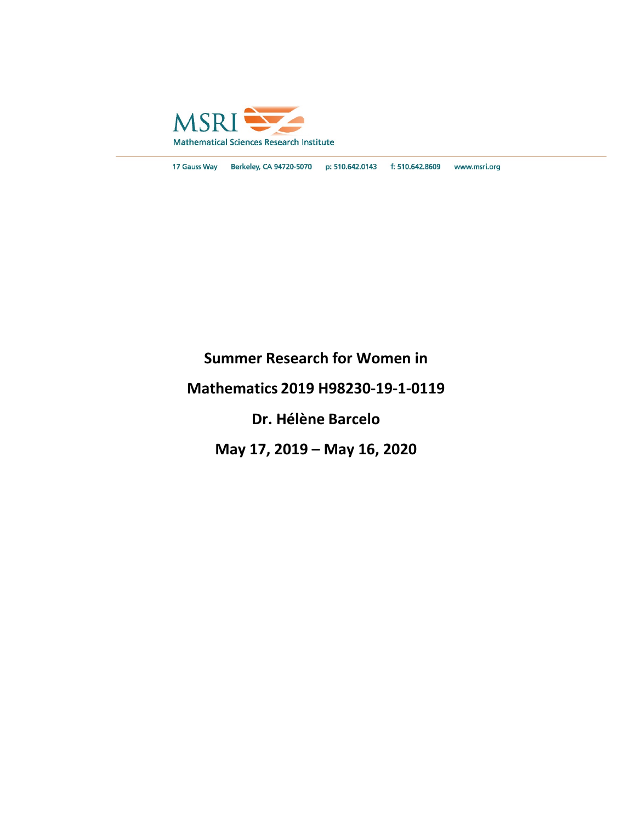

17 Gauss Way Berkeley, CA 94720-5070 p: 510.642.0143 f: 510.642.8609 www.msri.org

## **Summer Research for Women in**

### **Mathematics 2019 H98230-19-1-0119**

### **Dr. Hélène Barcelo**

## **May 17, 2019 – May 16, 2020**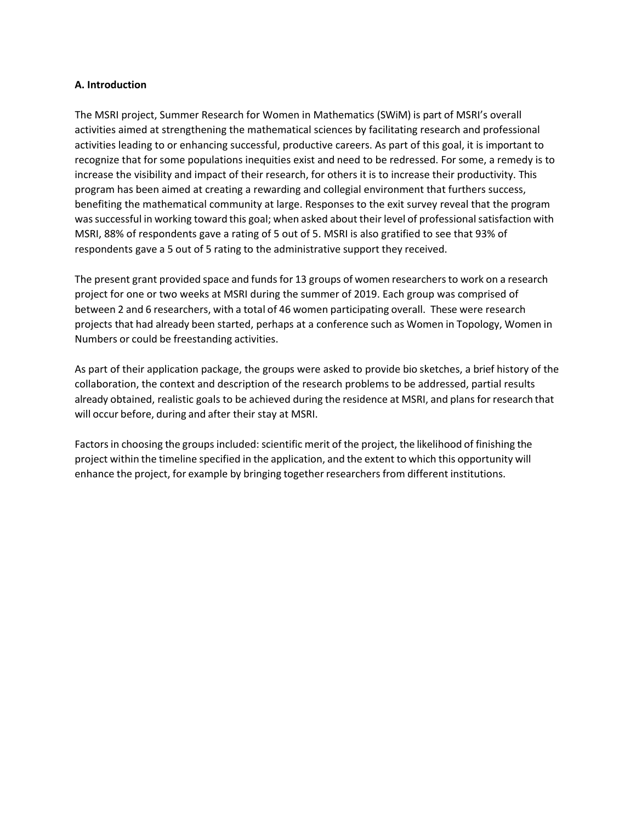#### **A. Introduction**

The MSRI project, Summer Research for Women in Mathematics (SWiM) is part of MSRI's overall activities aimed at strengthening the mathematical sciences by facilitating research and professional activities leading to or enhancing successful, productive careers. As part of this goal, it is important to recognize that for some populations inequities exist and need to be redressed. For some, a remedy is to increase the visibility and impact of their research, for others it is to increase their productivity. This program has been aimed at creating a rewarding and collegial environment that furthers success, benefiting the mathematical community at large. Responses to the exit survey reveal that the program wassuccessful in working toward this goal; when asked about their level of professionalsatisfaction with MSRI, 88% of respondents gave a rating of 5 out of 5. MSRI is also gratified to see that 93% of respondents gave a 5 out of 5 rating to the administrative support they received.

The present grant provided space and funds for 13 groups of women researchersto work on a research project for one or two weeks at MSRI during the summer of 2019. Each group was comprised of between 2 and 6 researchers, with a total of 46 women participating overall. These were research projects that had already been started, perhaps at a conference such as Women in Topology, Women in Numbers or could be freestanding activities.

As part of their application package, the groups were asked to provide bio sketches, a brief history of the collaboration, the context and description of the research problems to be addressed, partial results already obtained, realistic goals to be achieved during the residence at MSRI, and plans for research that will occur before, during and after their stay at MSRI.

Factors in choosing the groups included: scientific merit of the project, the likelihood of finishing the project within the timeline specified in the application, and the extent to which this opportunity will enhance the project, for example by bringing together researchers from different institutions.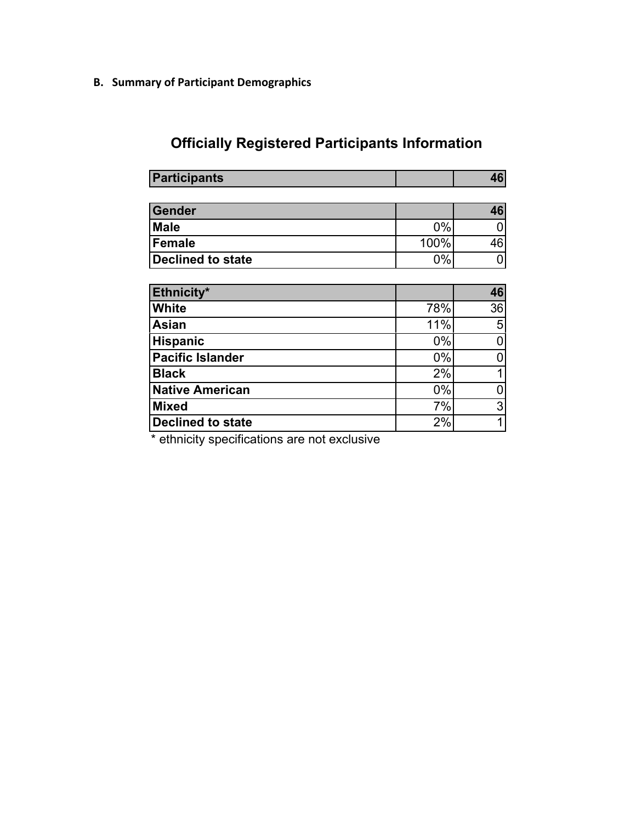**B. Summary of Participant Demographics**

# **Officially Registered Participants Information**

| <b>Participants</b>      |       | 46 |
|--------------------------|-------|----|
|                          |       |    |
| <b>Gender</b>            |       | 46 |
| <b>Male</b>              | 0%    |    |
| <b>Female</b>            | 100%  | 46 |
| <b>Declined to state</b> | 0%    | 0  |
|                          |       |    |
| Ethnicity*               |       | 46 |
| <b>White</b>             | 78%   | 36 |
| <b>Asian</b>             | 11%   | 5  |
| <b>Hispanic</b>          | $0\%$ | 0  |
| <b>Pacific Islander</b>  | 0%    | N  |
| <b>Black</b>             | 2%    |    |
| <b>Native American</b>   | $0\%$ | 0  |
| <b>Mixed</b>             | 7%    | 3  |
| <b>Declined to state</b> | 2%    | 1  |

\* ethnicity specifications are not exclusive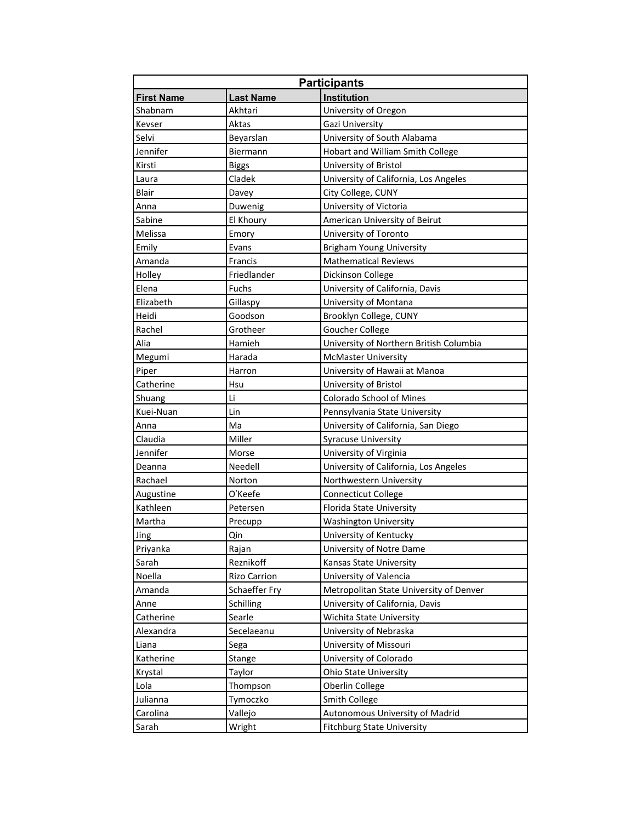| <b>Participants</b> |                     |                                         |
|---------------------|---------------------|-----------------------------------------|
| <b>First Name</b>   | <b>Last Name</b>    | <b>Institution</b>                      |
| Shabnam             | Akhtari             | University of Oregon                    |
| Kevser              | Aktas               | Gazi University                         |
| Selvi               | Beyarslan           | University of South Alabama             |
| Jennifer            | Biermann            | Hobart and William Smith College        |
| Kirsti              | <b>Biggs</b>        | University of Bristol                   |
| Laura               | Cladek              | University of California, Los Angeles   |
| <b>Blair</b>        | Davey               | City College, CUNY                      |
| Anna                | Duwenig             | University of Victoria                  |
| Sabine              | El Khoury           | American University of Beirut           |
| Melissa             | Emory               | University of Toronto                   |
| Emily               | Evans               | <b>Brigham Young University</b>         |
| Amanda              | Francis             | <b>Mathematical Reviews</b>             |
| Holley              | Friedlander         | Dickinson College                       |
| Elena               | Fuchs               | University of California, Davis         |
| Elizabeth           | Gillaspy            | University of Montana                   |
| Heidi               | Goodson             | Brooklyn College, CUNY                  |
| Rachel              | Grotheer            | Goucher College                         |
| Alia                | Hamieh              | University of Northern British Columbia |
| Megumi              | Harada              | <b>McMaster University</b>              |
| Piper               | Harron              | University of Hawaii at Manoa           |
| Catherine           | Hsu                 | University of Bristol                   |
| Shuang              | Li                  | Colorado School of Mines                |
| Kuei-Nuan           | Lin                 | Pennsylvania State University           |
| Anna                | Ma                  | University of California, San Diego     |
| Claudia             | Miller              | <b>Syracuse University</b>              |
| Jennifer            | Morse               | University of Virginia                  |
| Deanna              | Needell             | University of California, Los Angeles   |
| Rachael             | Norton              | Northwestern University                 |
| Augustine           | O'Keefe             | <b>Connecticut College</b>              |
| Kathleen            | Petersen            | Florida State University                |
| Martha              | Precupp             | <b>Washington University</b>            |
| Jing                | Qin                 | University of Kentucky                  |
| Priyanka            | Rajan               | University of Notre Dame                |
| Sarah               | Reznikoff           | Kansas State University                 |
| Noella              | <b>Rizo Carrion</b> | University of Valencia                  |
| Amanda              | Schaeffer Fry       | Metropolitan State University of Denver |
| Anne                | Schilling           | University of California, Davis         |
| Catherine           | Searle              | Wichita State University                |
| Alexandra           | Secelaeanu          | University of Nebraska                  |
| Liana               | Sega                | University of Missouri                  |
| Katherine           | Stange              | University of Colorado                  |
| Krystal             | Taylor              | <b>Ohio State University</b>            |
| Lola                | Thompson            | Oberlin College                         |
| Julianna            | Tymoczko            | Smith College                           |
| Carolina            | Vallejo             | Autonomous University of Madrid         |
| Sarah               | Wright              | <b>Fitchburg State University</b>       |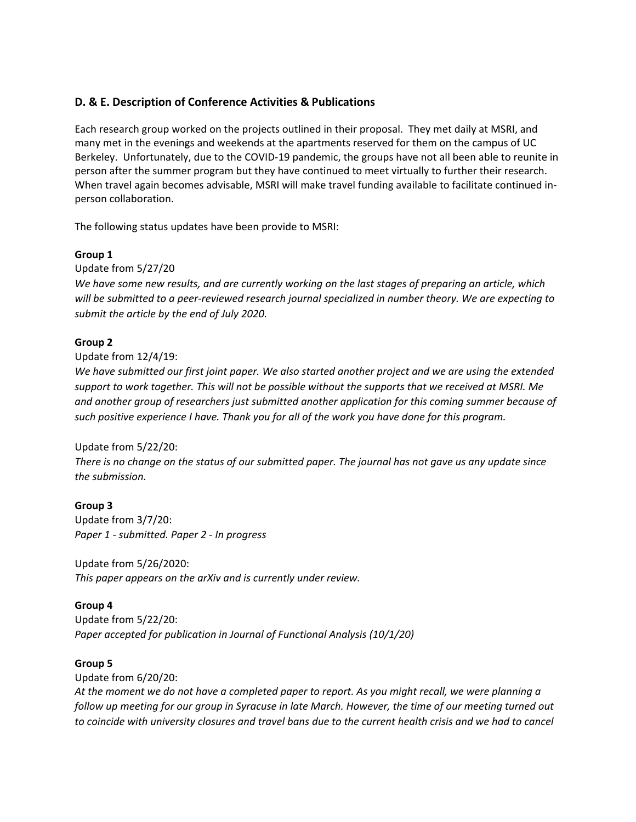#### **D. & E. Description of Conference Activities & Publications**

Each research group worked on the projects outlined in their proposal. They met daily at MSRI, and many met in the evenings and weekends at the apartments reserved for them on the campus of UC Berkeley. Unfortunately, due to the COVID-19 pandemic, the groups have not all been able to reunite in person after the summer program but they have continued to meet virtually to further their research. When travel again becomes advisable, MSRI will make travel funding available to facilitate continued inperson collaboration.

The following status updates have been provide to MSRI:

#### **Group 1**

Update from 5/27/20

*We have some new results, and are currently working on the last stages of preparing an article, which will be submitted to a peer-reviewed research journal specialized in number theory. We are expecting to submit the article by the end of July 2020.*

#### **Group 2**

Update from 12/4/19:

*We have submitted our first joint paper. We also started another project and we are using the extended support to work together. This will not be possible without the supports that we received at MSRI. Me and another group of researchers just submitted another application for this coming summer because of such positive experience I have. Thank you for all of the work you have done for this program.* 

#### Update from 5/22/20:

*There is no change on the status of our submitted paper. The journal has not gave us any update since the submission.*

#### **Group 3**

Update from 3/7/20: *Paper 1 - submitted. Paper 2 - In progress*

Update from 5/26/2020: *This paper appears on the arXiv and is currently under review.* 

#### **Group 4**

Update from 5/22/20: *Paper accepted for publication in Journal of Functional Analysis (10/1/20)*

#### **Group 5**

Update from 6/20/20:

*At the moment we do not have a completed paper to report. As you might recall, we were planning a follow up meeting for our group in Syracuse in late March. However, the time of our meeting turned out to coincide with university closures and travel bans due to the current health crisis and we had to cancel*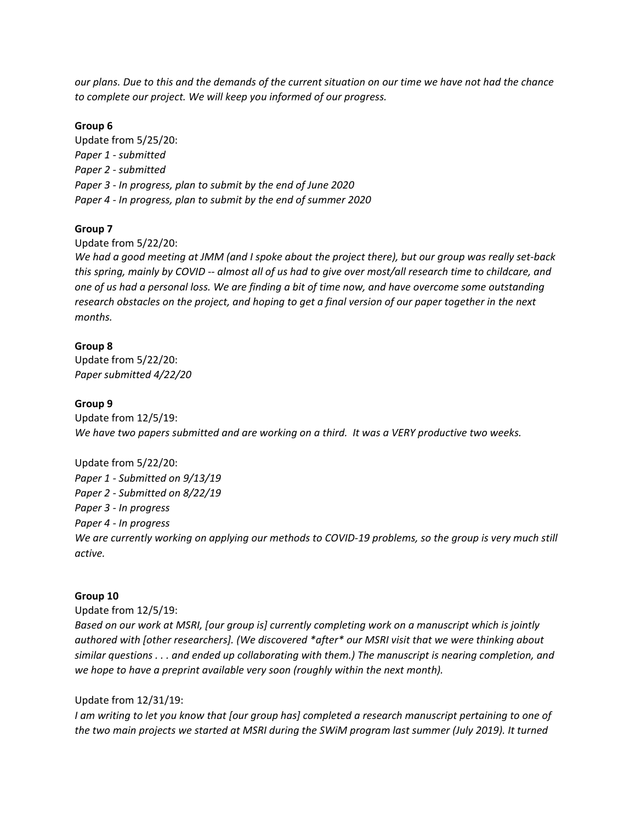*our plans. Due to this and the demands of the current situation on our time we have not had the chance to complete our project. We will keep you informed of our progress.*

#### **Group 6**

Update from 5/25/20: *Paper 1 - submitted Paper 2 - submitted Paper 3 - In progress, plan to submit by the end of June 2020 Paper 4 - In progress, plan to submit by the end of summer 2020*

#### **Group 7**

Update from 5/22/20:

*We had a good meeting at JMM (and I spoke about the project there), but our group was really set-back this spring, mainly by COVID -- almost all of us had to give over most/all research time to childcare, and one of us had a personal loss. We are finding a bit of time now, and have overcome some outstanding research obstacles on the project, and hoping to get a final version of our paper together in the next months.*

#### **Group 8**

Update from 5/22/20: *Paper submitted 4/22/20*

#### **Group 9**

Update from 12/5/19: *We have two papers submitted and are working on a third. It was a VERY productive two weeks.*

Update from 5/22/20: *Paper 1 - Submitted on 9/13/19 Paper 2 - Submitted on 8/22/19 Paper 3 - In progress Paper 4 - In progress We are currently working on applying our methods to COVID-19 problems, so the group is very much still active.*

#### **Group 10**

Update from 12/5/19:

*Based on our work at MSRI, [our group is] currently completing work on a manuscript which is jointly authored with [other researchers]. (We discovered \*after\* our MSRI visit that we were thinking about similar questions . . . and ended up collaborating with them.) The manuscript is nearing completion, and we hope to have a preprint available very soon (roughly within the next month).*

#### Update from 12/31/19:

*I am writing to let you know that [our group has] completed a research manuscript pertaining to one of the two main projects we started at MSRI during the SWiM program last summer (July 2019). It turned*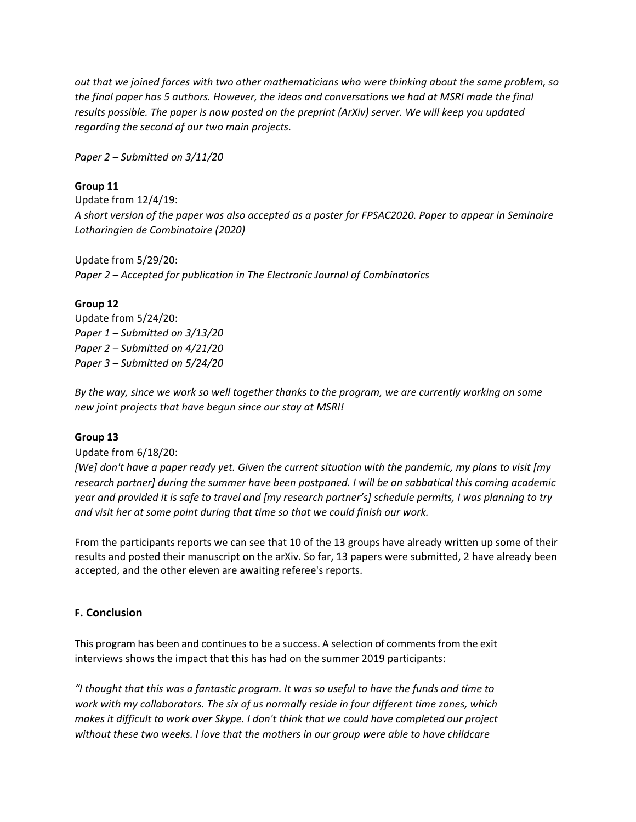*out that we joined forces with two other mathematicians who were thinking about the same problem, so the final paper has 5 authors. However, the ideas and conversations we had at MSRI made the final results possible. The paper is now posted on the preprint (ArXiv) server. We will keep you updated regarding the second of our two main projects.*

*Paper 2 – Submitted on 3/11/20*

#### **Group 11**

Update from 12/4/19: *A short version of the paper was also accepted as a poster for FPSAC2020. Paper to appear in Seminaire Lotharingien de Combinatoire (2020)*

Update from 5/29/20: *Paper 2 – Accepted for publication in The Electronic Journal of Combinatorics*

#### **Group 12**

Update from 5/24/20: *Paper 1 – Submitted on 3/13/20 Paper 2 – Submitted on 4/21/20 Paper 3 – Submitted on 5/24/20*

*By the way, since we work so well together thanks to the program, we are currently working on some new joint projects that have begun since our stay at MSRI!*

#### **Group 13**

Update from 6/18/20:

*[We] don't have a paper ready yet. Given the current situation with the pandemic, my plans to visit [my research partner] during the summer have been postponed. I will be on sabbatical this coming academic year and provided it is safe to travel and [my research partner's] schedule permits, I was planning to try and visit her at some point during that time so that we could finish our work.*

From the participants reports we can see that 10 of the 13 groups have already written up some of their results and posted their manuscript on the arXiv. So far, 13 papers were submitted, 2 have already been accepted, and the other eleven are awaiting referee's reports.

#### **F. Conclusion**

This program has been and continues to be a success. A selection of comments from the exit interviews shows the impact that this has had on the summer 2019 participants:

*"I thought that this was a fantastic program. It was so useful to have the funds and time to work with my collaborators. The six of us normally reside in four different time zones, which makes it difficult to work over Skype. I don't think that we could have completed our project without these two weeks. I love that the mothers in our group were able to have childcare*